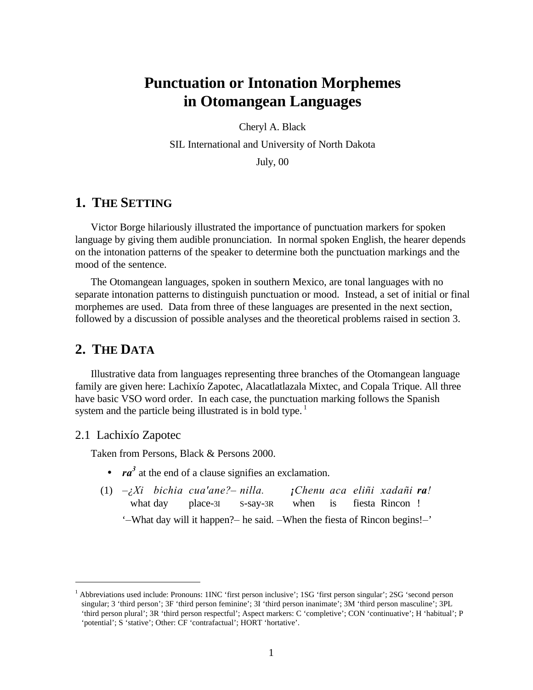# **Punctuation or Intonation Morphemes in Otomangean Languages**

Cheryl A. Black

SIL International and University of North Dakota

July, 00

### **1. THE SETTING**

Victor Borge hilariously illustrated the importance of punctuation markers for spoken language by giving them audible pronunciation. In normal spoken English, the hearer depends on the intonation patterns of the speaker to determine both the punctuation markings and the mood of the sentence.

The Otomangean languages, spoken in southern Mexico, are tonal languages with no separate intonation patterns to distinguish punctuation or mood. Instead, a set of initial or final morphemes are used. Data from three of these languages are presented in the next section, followed by a discussion of possible analyses and the theoretical problems raised in section 3.

### **2. THE DATA**

Illustrative data from languages representing three branches of the Otomangean language family are given here: Lachixío Zapotec, Alacatlatlazala Mixtec, and Copala Trique. All three have basic VSO word order. In each case, the punctuation marking follows the Spanish system and the particle being illustrated is in bold type.<sup>1</sup>

### 2.1 Lachixío Zapotec

 $\overline{a}$ 

Taken from Persons, Black & Persons 2000.

- *ra<sup>3</sup>* at the end of a clause signifies an exclamation.
- (1) *–¿Xi bichia cua'ane?– nilla. ¡Chenu aca eliñi xadañi ra!* what day place-3I S-say-3R when is fiesta Rincon ! '*–*What day will it happen?*–* he said. *–*When the fiesta of Rincon begins!*–*'

<sup>&</sup>lt;sup>1</sup> Abbreviations used include: Pronouns: 1INC 'first person inclusive'; 1SG 'first person singular'; 2SG 'second person singular; 3 'third person'; 3F 'third person feminine'; 3I 'third person inanimate'; 3M 'third person masculine'; 3PL 'third person plural'; 3R 'third person respectful'; Aspect markers: C 'completive'; CON 'continuative'; H 'habitual'; P 'potential'; S 'stative'; Other: CF 'contrafactual'; HORT 'hortative'.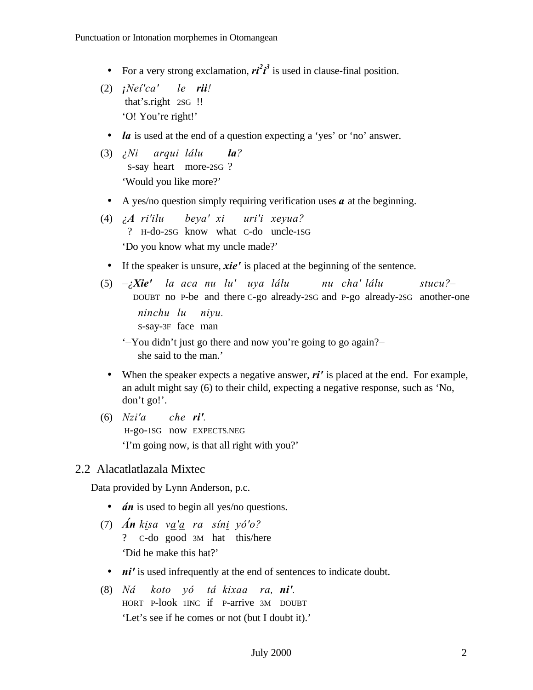- For a very strong exclamation,  $ri^2i^3$  is used in clause-final position.
- (2) *¡Neí'ca' le rii!* that's.right 2SG !! 'O! You're right!'
	- *la* is used at the end of a question expecting a 'yes' or 'no' answer.
- (3) *¿Ni arqui lálu la?* S-say heart more-2SG ? 'Would you like more?'
- A yes/no question simply requiring verification uses *a* at the beginning.
- (4) *¿A ri'ilu beya' xi uri'i xeyua?* ? H-do-2SG know what C-do uncle-1SG 'Do you know what my uncle made?'
- If the speaker is unsure, *xie'* is placed at the beginning of the sentence.

(5) *–¿Xie' la aca nu lu' uya lálu nu cha' lálu stucu?–* DOUBT no P-be and there C-go already-2SG and P-go already-2SG another-one *ninchu lu niyu.* S-say-3F face man

'*–*You didn't just go there and now you're going to go again?*–* she said to the man.'

- When the speaker expects a negative answer,  $\vec{r}$  is placed at the end. For example, an adult might say (6) to their child, expecting a negative response, such as 'No, don't go!'.
- (6) *Nzi'a che ri'.* H-go-1SG now EXPECTS.NEG 'I'm going now, is that all right with you?'

### 2.2 Alacatlatlazala Mixtec

Data provided by Lynn Anderson, p.c.

- *án* is used to begin all yes/no questions.
- (7) *Án kisa va'a ra síni yó'o?* ? C-do good 3M hat this/here 'Did he make this hat?'
	- *ni'* is used infrequently at the end of sentences to indicate doubt.
- (8) *Ná koto yó tá kixaa ra, ni'.* HORT P-look 1INC if P-arrive 3M DOUBT 'Let's see if he comes or not (but I doubt it).'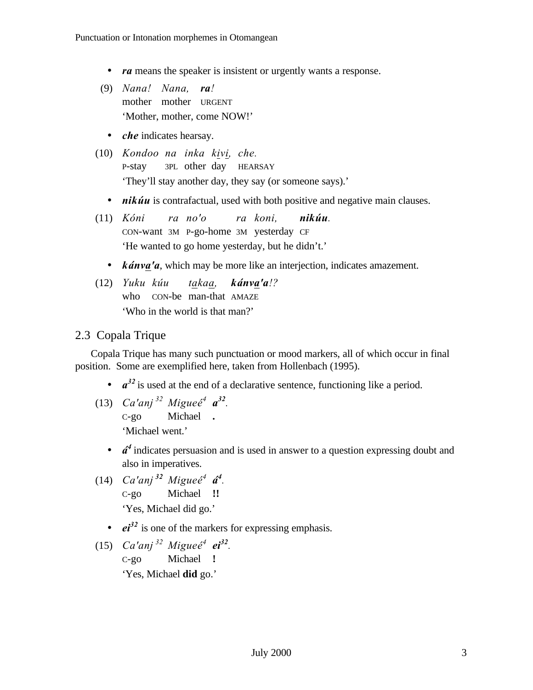- *ra* means the speaker is insistent or urgently wants a response.
- (9) *Nana! Nana, ra!* mother mother URGENT 'Mother, mother, come NOW!'
	- *che* indicates hearsay.
- (10) *Kondoo na inka kivi, che.* P-stay 3PL other day HEARSAY 'They'll stay another day, they say (or someone says).'
	- *nikúu* is contrafactual, used with both positive and negative main clauses.
- (11) *Kóni ra no'o ra koni, nikúu.* CON-want 3M P-go-home 3M yesterday CF 'He wanted to go home yesterday, but he didn't.'
	- *kánva'a*, which may be more like an interjection, indicates amazement.
- (12) *Yuku kúu takaa, kánva'a!?* who CON-be man-that AMAZE 'Who in the world is that man?'

### 2.3 Copala Trique

Copala Trique has many such punctuation or mood markers, all of which occur in final position. Some are exemplified here, taken from Hollenbach (1995).

- $\bullet$   $a^{32}$  is used at the end of a declarative sentence, functioning like a period.
- (13) *Ca'anj*<sup>32</sup> *Migueé<sup>4</sup>*  $a^{32}$ . C-go Michael **.** 'Michael went.'
	- *á*<sup>4</sup> indicates persuasion and is used in answer to a question expressing doubt and also in imperatives.
- (14) *Ca'anj*<sup>32</sup> *Migueé<sup>4</sup>* **á<sup>4</sup>**. C-go Michael **!!** 'Yes, Michael did go.'
	- *ei*<sup>32</sup> is one of the markers for expressing emphasis.
- (15) *Ca'anj*<sup>32</sup> *Migueé<sup>4</sup> ei*<sup>32</sup>.

C-go Michael **!** 'Yes, Michael **did** go.'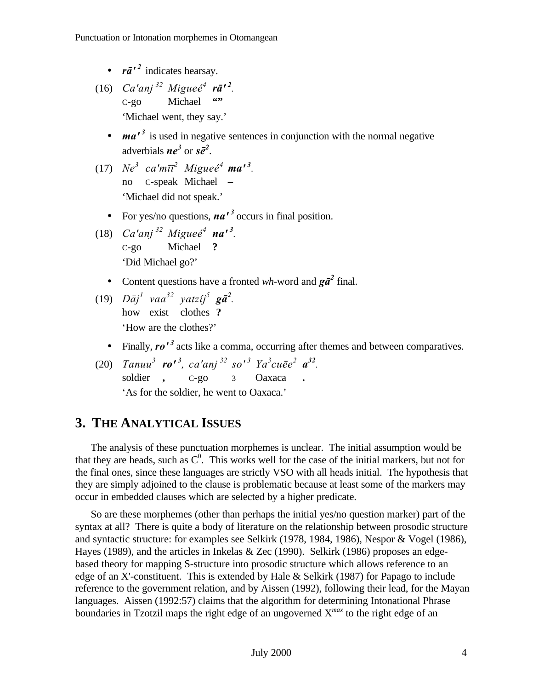- $r\bar{a}^{\prime 2}$  indicates hearsay.
- $(16)$  *Ca'anj*<sup>32</sup> *Migueé<sup>4</sup> rā'*<sup>2</sup>. C-go Michael **"** 'Michael went, they say.'
	- *ma'<sup>3</sup>* is used in negative sentences in conjunction with the normal negative adverbials  $ne^3$  or  $s\bar{e}^2$ .
- (17)  $Ne^3$   $ca'm\bar{u}^2$   $Migue\acute{e}^4$   $ma'^3$ . no C-speak Michael **–** 'Michael did not speak.'
	- For yes/no questions, *na'<sup>3</sup>*occurs in final position.
- (18)  $Ca'anj^{32} Migueé<sup>4</sup> na'<sup>3</sup>$ . C-go Michael **?** 'Did Michael go?'
	- Content questions have a fronted *wh*-word and  $g\bar{a}^2$  final.
- $(19)$   $D\bar{a}j^{l}$   $vaa^{32}$   $yatzij^{5}$   $g\bar{a}^{2}$ . how exist clothes **?** 'How are the clothes?'
	- Finally,  $\mathbf{r} \mathbf{o'}^3$  acts like a comma, occurring after themes and between comparatives.
- (20) *Tanuu*<sup>3</sup> **ro'**<sup>3</sup>, ca'anj<sup>32</sup> so'<sup>3</sup> Ya<sup>3</sup>cu $\bar{e}e^2$  **a**<sup>32</sup>. soldier **,** C-go 3 Oaxaca **.** 'As for the soldier, he went to Oaxaca.'

## **3. THE ANALYTICAL ISSUES**

The analysis of these punctuation morphemes is unclear. The initial assumption would be that they are heads, such as  $C^0$ . This works well for the case of the initial markers, but not for the final ones, since these languages are strictly VSO with all heads initial. The hypothesis that they are simply adjoined to the clause is problematic because at least some of the markers may occur in embedded clauses which are selected by a higher predicate.

So are these morphemes (other than perhaps the initial yes/no question marker) part of the syntax at all? There is quite a body of literature on the relationship between prosodic structure and syntactic structure: for examples see Selkirk (1978, 1984, 1986), Nespor & Vogel (1986), Hayes (1989), and the articles in Inkelas & Zec (1990). Selkirk (1986) proposes an edgebased theory for mapping S-structure into prosodic structure which allows reference to an edge of an X'-constituent. This is extended by Hale & Selkirk (1987) for Papago to include reference to the government relation, and by Aissen (1992), following their lead, for the Mayan languages. Aissen (1992:57) claims that the algorithm for determining Intonational Phrase boundaries in Tzotzil maps the right edge of an ungoverned X*max* to the right edge of an